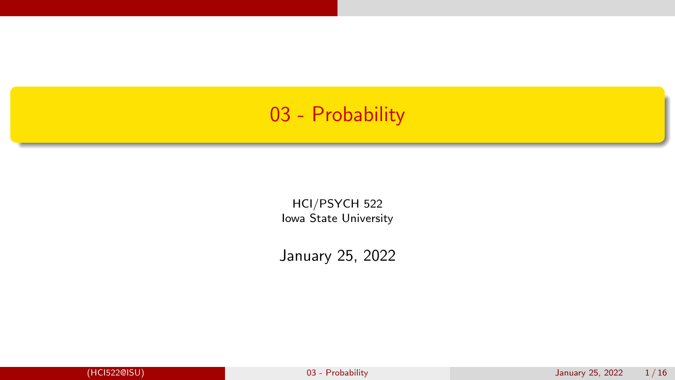# <span id="page-0-0"></span>03 - Probability

HCI/PSYCH 522 Iowa State University

January 25, 2022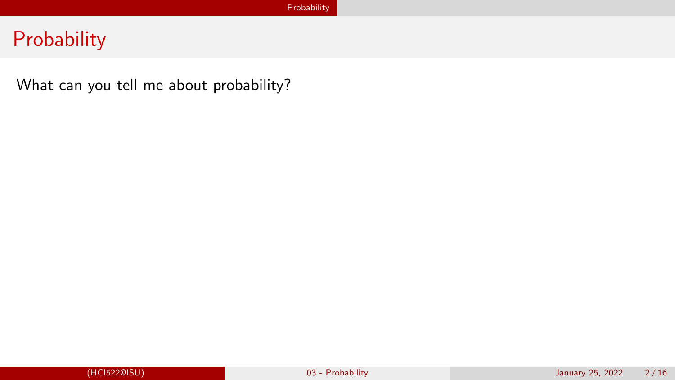# <span id="page-1-0"></span>**Probability**

What can you tell me about probability?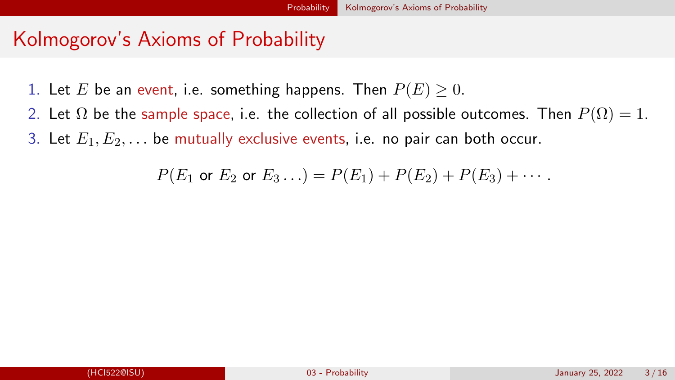# <span id="page-2-0"></span>Kolmogorov's Axioms of Probability

- 1. Let E be an event, i.e. something happens. Then  $P(E) \ge 0$ .
- 2. Let  $\Omega$  be the sample space, i.e. the collection of all possible outcomes. Then  $P(\Omega) = 1$ . 3. Let  $E_1, E_2, \ldots$  be mutually exclusive events, i.e. no pair can both occur.

$$
P(E_1 \text{ or } E_2 \text{ or } E_3 \dots) = P(E_1) + P(E_2) + P(E_3) + \dots
$$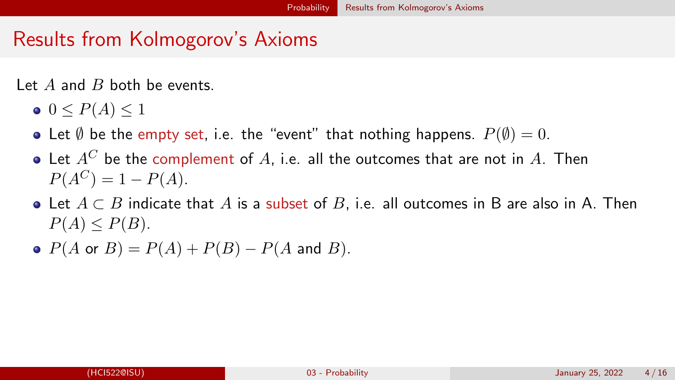# <span id="page-3-0"></span>Results from Kolmogorov's Axioms

Let  $A$  and  $B$  both be events.

- $0 \leq P(A) \leq 1$
- Let  $\emptyset$  be the empty set, i.e. the "event" that nothing happens.  $P(\emptyset) = 0$ .
- $\bullet$  Let  $A^C$  be the complement of A, i.e. all the outcomes that are not in A. Then  $P(A^C) = 1 - P(A).$
- Let  $A \subset B$  indicate that A is a subset of B, i.e. all outcomes in B are also in A. Then  $P(A) \leq P(B)$ .
- $P(A \text{ or } B) = P(A) + P(B) P(A \text{ and } B).$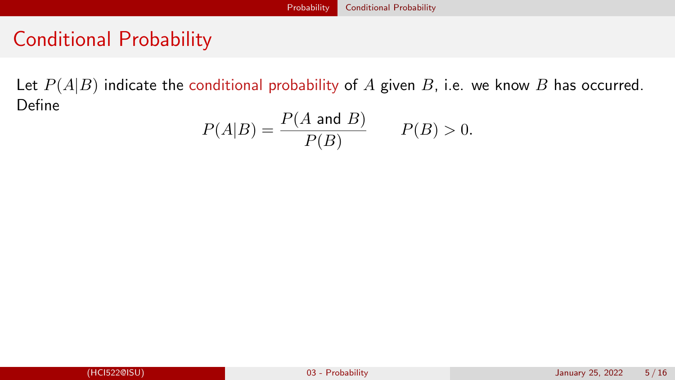### [Probability](#page-1-0) [Conditional Probability](#page-4-0)

# <span id="page-4-0"></span>Conditional Probability

Let  $P(A|B)$  indicate the conditional probability of A given B, i.e. we know B has occurred. Define

$$
P(A|B) = \frac{P(A \text{ and } B)}{P(B)} \qquad P(B) > 0.
$$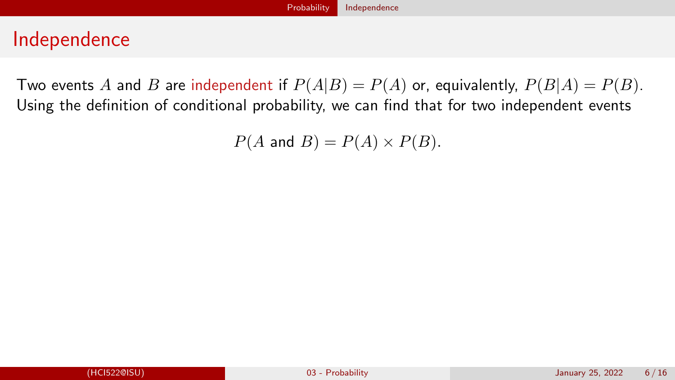## <span id="page-5-0"></span>Independence

Two events A and B are independent if  $P(A|B) = P(A)$  or, equivalently,  $P(B|A) = P(B)$ . Using the definition of conditional probability, we can find that for two independent events

 $P(A \text{ and } B) = P(A) \times P(B).$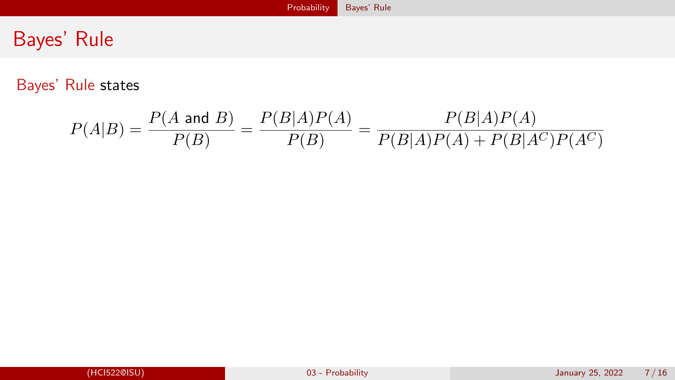# <span id="page-6-0"></span>Bayes' Rule

Bayes' Rule states

$$
P(A|B) = \frac{P(A \text{ and } B)}{P(B)} = \frac{P(B|A)P(A)}{P(B)} = \frac{P(B|A)P(A)}{P(B|A)P(A) + P(B|A^C)P(A^C)}
$$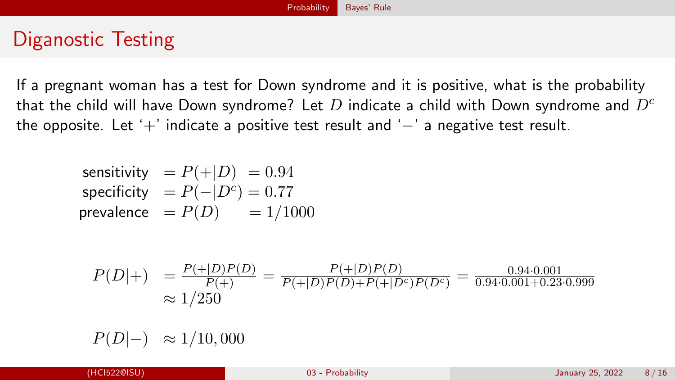# Diganostic Testing

If a pregnant woman has a test for Down syndrome and it is positive, what is the probability that the child will have Down syndrome? Let D indicate a child with Down syndrome and  $D<sup>c</sup>$ the opposite. Let '+' indicate a positive test result and '−' a negative test result.

sensitivity = 
$$
P(+|D) = 0.94
$$
  
specificity =  $P(-|D^c) = 0.77$   
prevalence =  $P(D) = 1/1000$ 

$$
P(D|+) = \frac{P(+|D)P(D)}{P(+)} = \frac{P(+|D)P(D)}{P(+|D)P(D)+P(+|D^c)P(D^c)} = \frac{0.94 \cdot 0.001}{0.94 \cdot 0.001 + 0.23 \cdot 0.999} \approx 1/250
$$

 $P(D|-) \approx 1/10,000$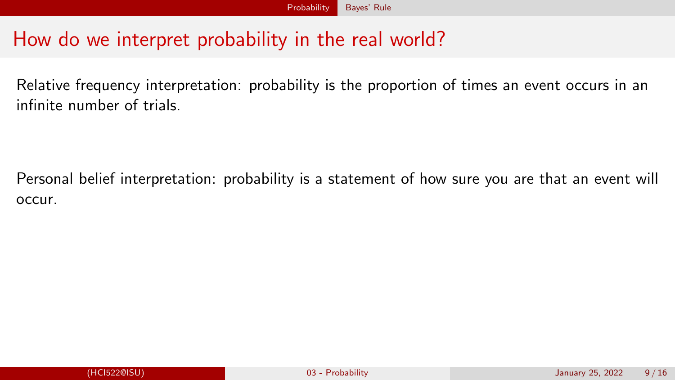# How do we interpret probability in the real world?

Relative frequency interpretation: probability is the proportion of times an event occurs in an infinite number of trials.

Personal belief interpretation: probability is a statement of how sure you are that an event will occur.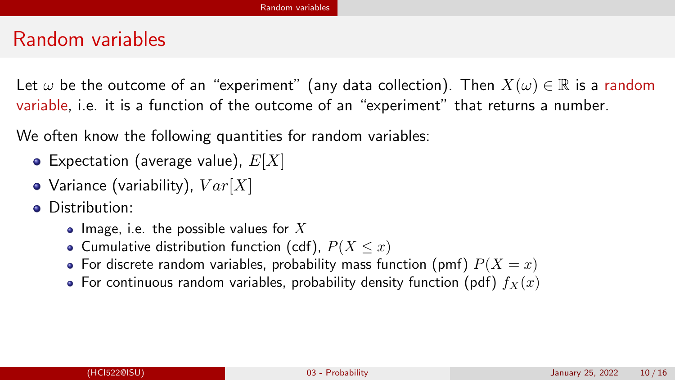## <span id="page-9-0"></span>Random variables

Let  $\omega$  be the outcome of an "experiment" (any data collection). Then  $X(\omega) \in \mathbb{R}$  is a random variable, i.e. it is a function of the outcome of an "experiment" that returns a number.

We often know the following quantities for random variables:

- Expectation (average value),  $E[X]$
- Variance (variability),  $Var[X]$
- **•** Distribution:
	- Image, i.e. the possible values for X
	- Cumulative distribution function (cdf),  $P(X \leq x)$
	- For discrete random variables, probability mass function (pmf)  $P(X = x)$
	- For continuous random variables, probability density function (pdf)  $f_X(x)$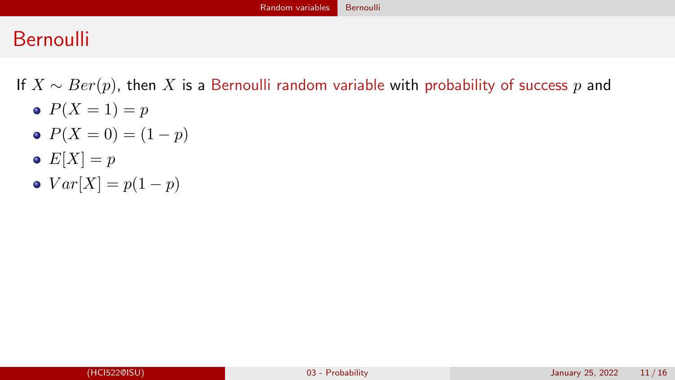# <span id="page-10-0"></span>**Bernoulli**

If  $X \sim Ber(p)$ , then X is a Bernoulli random variable with probability of success p and

- $P(X = 1) = p$
- $P(X = 0) = (1 p)$
- $E[X] = p$
- $Var[X] = p(1-p)$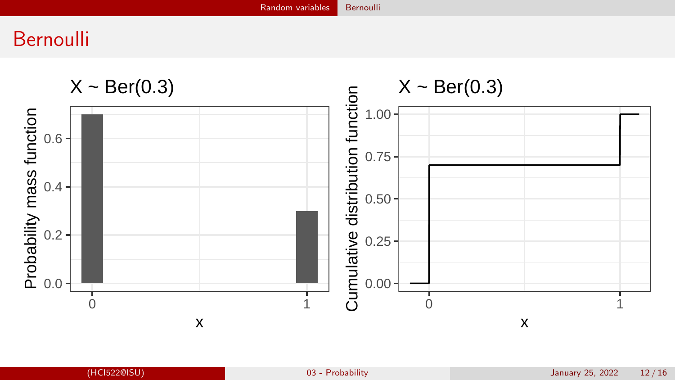# Bernoulli

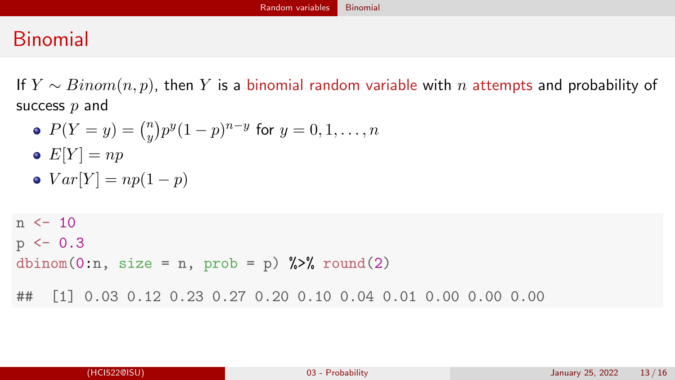# <span id="page-12-0"></span>Binomial

If  $Y \sim Binom(n, p)$ , then Y is a binomial random variable with n attempts and probability of success  $p$  and

 $P(Y = y) = \binom{n}{y}$  $(y^n_y)p^y(1-p)^{n-y}$  for  $y=0,1,\ldots,n$ 

$$
\bullet \ \ E[Y] = np
$$

$$
\bullet \ Var[Y] = np(1-p)
$$

 $n < -10$  $p \le -0.3$ dbinom(0:n, size = n, prob = p)  $\frac{1}{2}$  round(2) ## [1] 0.03 0.12 0.23 0.27 0.20 0.10 0.04 0.01 0.00 0.00 0.00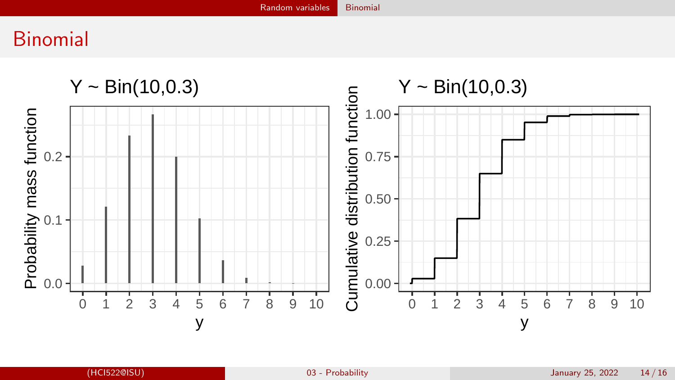# Binomial

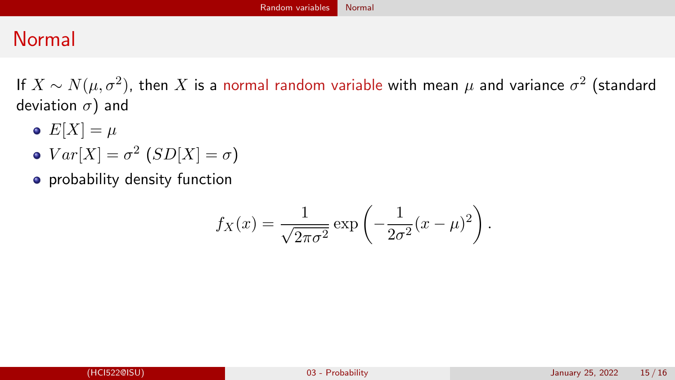# <span id="page-14-0"></span>Normal

If  $X \sim N(\mu,\sigma^2)$ , then  $X$  is a normal random variable with mean  $\mu$  and variance  $\sigma^2$  (standard deviation  $\sigma$ ) and

- $\bullet$   $E[X] = \mu$
- $Var[X] = \sigma^2 \left(SD[X] = \sigma\right)$
- **•** probability density function

$$
f_X(x) = \frac{1}{\sqrt{2\pi\sigma^2}} \exp\left(-\frac{1}{2\sigma^2}(x-\mu)^2\right).
$$